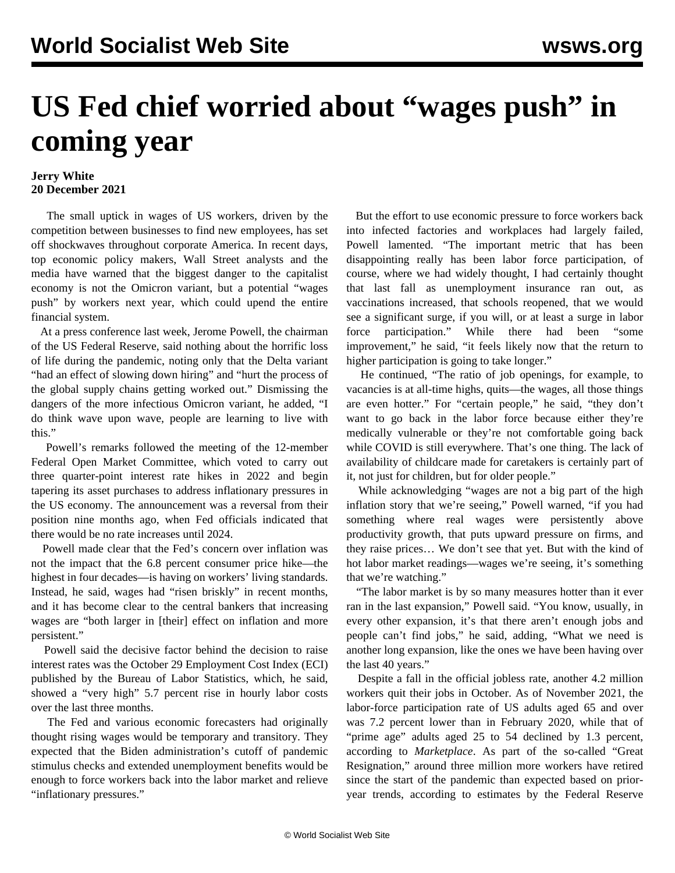## **US Fed chief worried about "wages push" in coming year**

## **Jerry White 20 December 2021**

 The small uptick in wages of US workers, driven by the competition between businesses to find new employees, has set off shockwaves throughout corporate America. In recent days, top economic policy makers, Wall Street analysts and the media have warned that the biggest danger to the capitalist economy is not the Omicron variant, but a potential "wages push" by workers next year, which could upend the entire financial system.

 At a press conference last week, Jerome Powell, the chairman of the US Federal Reserve, said nothing about the horrific loss of life during the pandemic, noting only that the Delta variant "had an effect of slowing down hiring" and "hurt the process of the global supply chains getting worked out." Dismissing the dangers of the more infectious Omicron variant, he added, "I do think wave upon wave, people are learning to live with this."

 Powell's remarks followed the meeting of the 12-member Federal Open Market Committee, which voted to carry out three quarter-point interest rate hikes in 2022 and begin tapering its asset purchases to address inflationary pressures in the US economy. The announcement was a reversal from their position nine months ago, when Fed officials indicated that there would be no rate increases until 2024.

 Powell made clear that the Fed's concern over inflation was not the impact that the 6.8 percent consumer price hike—the highest in four decades—is having on workers' living standards. Instead, he said, wages had "risen briskly" in recent months, and it has become clear to the central bankers that increasing wages are "both larger in [their] effect on inflation and more persistent."

 Powell said the decisive factor behind the decision to raise interest rates was the October 29 Employment Cost Index (ECI) published by the Bureau of Labor Statistics, which, he said, showed a "very high" 5.7 percent rise in hourly labor costs over the last three months.

 The Fed and various economic forecasters had originally thought rising wages would be temporary and transitory. They expected that the Biden administration's cutoff of pandemic stimulus checks and extended unemployment benefits would be enough to force workers back into the labor market and relieve "inflationary pressures."

 But the effort to use economic pressure to force workers back into infected factories and workplaces had largely failed, Powell lamented. "The important metric that has been disappointing really has been labor force participation, of course, where we had widely thought, I had certainly thought that last fall as unemployment insurance ran out, as vaccinations increased, that schools reopened, that we would see a significant surge, if you will, or at least a surge in labor force participation." While there had been "some improvement," he said, "it feels likely now that the return to higher participation is going to take longer."

 He continued, "The ratio of job openings, for example, to vacancies is at all-time highs, quits—the wages, all those things are even hotter." For "certain people," he said, "they don't want to go back in the labor force because either they're medically vulnerable or they're not comfortable going back while COVID is still everywhere. That's one thing. The lack of availability of childcare made for caretakers is certainly part of it, not just for children, but for older people."

 While acknowledging "wages are not a big part of the high inflation story that we're seeing," Powell warned, "if you had something where real wages were persistently above productivity growth, that puts upward pressure on firms, and they raise prices… We don't see that yet. But with the kind of hot labor market readings—wages we're seeing, it's something that we're watching."

 "The labor market is by so many measures hotter than it ever ran in the last expansion," Powell said. "You know, usually, in every other expansion, it's that there aren't enough jobs and people can't find jobs," he said, adding, "What we need is another long expansion, like the ones we have been having over the last 40 years."

 Despite a fall in the official jobless rate, another 4.2 million workers quit their jobs in October. As of November 2021, the labor-force participation rate of US adults aged 65 and over was 7.2 percent lower than in February 2020, while that of "prime age" adults aged 25 to 54 declined by 1.3 percent, according to *Marketplace*. As part of the so-called "Great Resignation," around three million more workers have retired since the start of the pandemic than expected based on prioryear trends, according to estimates by the Federal Reserve